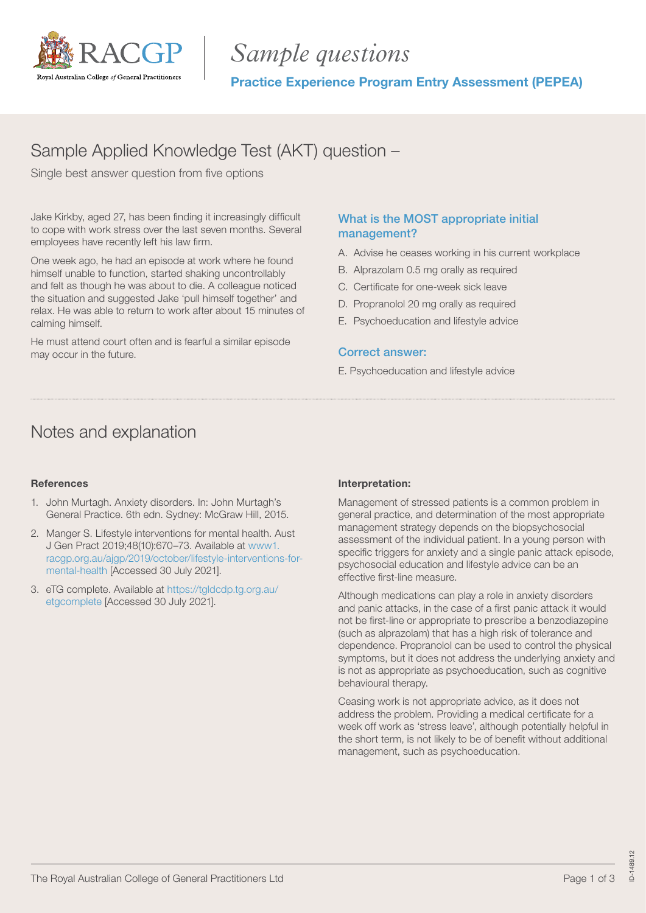

# *Sample questions*

Practice Experience Program Entry Assessment (PEPEA)

# Sample Applied Knowledge Test (AKT) question –

Single best answer question from five options

Jake Kirkby, aged 27, has been finding it increasingly difficult to cope with work stress over the last seven months. Several employees have recently left his law firm.

One week ago, he had an episode at work where he found himself unable to function, started shaking uncontrollably and felt as though he was about to die. A colleague noticed the situation and suggested Jake 'pull himself together' and relax. He was able to return to work after about 15 minutes of calming himself.

He must attend court often and is fearful a similar episode may occur in the future.

### What is the MOST appropriate initial management?

- A. Advise he ceases working in his current workplace
- B. Alprazolam 0.5 mg orally as required
- C. Certificate for one-week sick leave
- D. Propranolol 20 mg orally as required
- E. Psychoeducation and lifestyle advice

### Correct answer:

E. Psychoeducation and lifestyle advice

### Notes and explanation

### References

- 1. John Murtagh. Anxiety disorders. In: John Murtagh's General Practice. 6th edn. Sydney: McGraw Hill, 2015.
- 2. Manger S. Lifestyle interventions for mental health. Aust J Gen Pract 2019;48(10):670–73. Available at [www1.](www1.racgp.org.au/ajgp/2019/october/lifestyle-interventions-for-mental-health) [racgp.org.au/ajgp/2019/october/lifestyle-interventions-for](www1.racgp.org.au/ajgp/2019/october/lifestyle-interventions-for-mental-health)[mental-health](www1.racgp.org.au/ajgp/2019/october/lifestyle-interventions-for-mental-health) [Accessed 30 July 2021].
- 3. eTG complete. Available at https://tgldcdp.tg.org.au/ etgcomplete [Accessed 30 July 2021].

### Interpretation:

Management of stressed patients is a common problem in general practice, and determination of the most appropriate management strategy depends on the biopsychosocial assessment of the individual patient. In a young person with specific triggers for anxiety and a single panic attack episode, psychosocial education and lifestyle advice can be an effective first-line measure.

Although medications can play a role in anxiety disorders and panic attacks, in the case of a first panic attack it would not be first-line or appropriate to prescribe a benzodiazepine (such as alprazolam) that has a high risk of tolerance and dependence. Propranolol can be used to control the physical symptoms, but it does not address the underlying anxiety and is not as appropriate as psychoeducation, such as cognitive behavioural therapy.

Ceasing work is not appropriate advice, as it does not address the problem. Providing a medical certificate for a week off work as 'stress leave', although potentially helpful in the short term, is not likely to be of benefit without additional management, such as psychoeducation.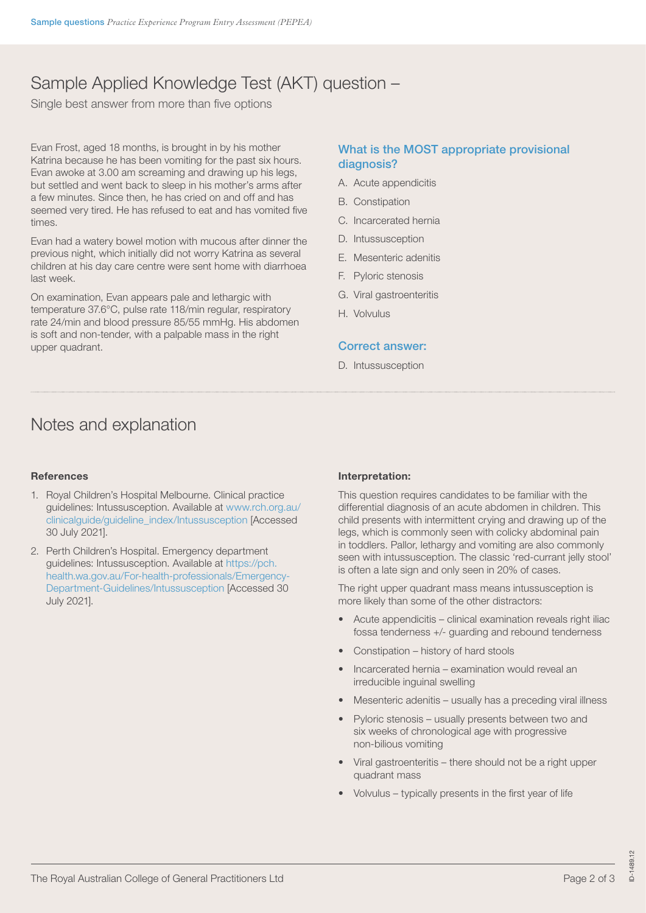# Sample Applied Knowledge Test (AKT) question –

Single best answer from more than five options

Evan Frost, aged 18 months, is brought in by his mother Katrina because he has been vomiting for the past six hours. Evan awoke at 3.00 am screaming and drawing up his legs, but settled and went back to sleep in his mother's arms after a few minutes. Since then, he has cried on and off and has seemed very tired. He has refused to eat and has vomited five times.

Evan had a watery bowel motion with mucous after dinner the previous night, which initially did not worry Katrina as several children at his day care centre were sent home with diarrhoea last week.

On examination, Evan appears pale and lethargic with temperature 37.6°C, pulse rate 118/min regular, respiratory rate 24/min and blood pressure 85/55 mmHg. His abdomen is soft and non-tender, with a palpable mass in the right upper quadrant.

### What is the MOST appropriate provisional diagnosis?

- A. Acute appendicitis
- B. Constipation
- C. Incarcerated hernia
- D. Intussusception
- E. Mesenteric adenitis
- F. Pyloric stenosis
- G. Viral gastroenteritis
- H. Volvulus

### Correct answer:

D. Intussusception

### Notes and explanation

### **References**

- 1. Royal Children's Hospital Melbourne. Clinical practice guidelines: Intussusception. Available at www.rch.org.au/ clinicalguide/guideline\_index/Intussusception [Accessed 30 July 2021].
- 2. Perth Children's Hospital. Emergency department guidelines: Intussusception. Available at https://pch. health.wa.gov.au/For-health-professionals/Emergency-Department-Guidelines/Intussusception [Accessed 30 July 2021].

### Interpretation:

This question requires candidates to be familiar with the differential diagnosis of an acute abdomen in children. This child presents with intermittent crying and drawing up of the legs, which is commonly seen with colicky abdominal pain in toddlers. Pallor, lethargy and vomiting are also commonly seen with intussusception. The classic 'red-currant jelly stool' is often a late sign and only seen in 20% of cases.

The right upper quadrant mass means intussusception is more likely than some of the other distractors:

- Acute appendicitis clinical examination reveals right iliac fossa tenderness +/- guarding and rebound tenderness
- Constipation history of hard stools
- Incarcerated hernia examination would reveal an irreducible inguinal swelling
- Mesenteric adenitis usually has a preceding viral illness
- Pyloric stenosis usually presents between two and six weeks of chronological age with progressive non-bilious vomiting
- Viral gastroenteritis there should not be a right upper quadrant mass
- Volvulus typically presents in the first year of life

ID-1489.12

D-1489.